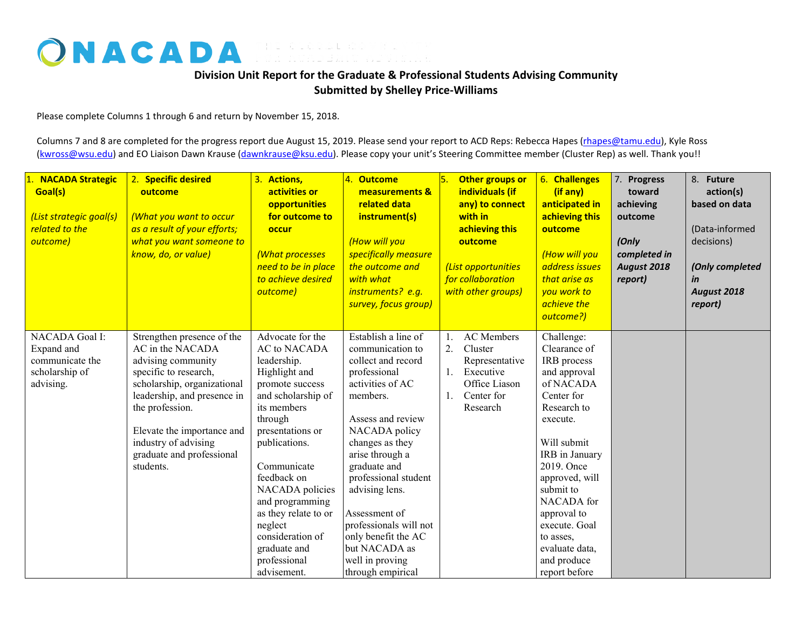## ONACADA FOR ACADEMIC ADVISING

## **Division Unit Report for the Graduate & Professional Students Advising Community Submitted by Shelley Price-Williams**

Please complete Columns 1 through 6 and return by November 15, 2018.

Columns 7 and 8 are completed for the progress report due August 15, 2019. Please send your report to ACD Reps: Rebecca Hapes (rhapes@tamu.edu), Kyle Ross [\(kwross@wsu.edu\)](mailto:kwross@wsu.edu) and EO Liaison Dawn Krause (dawnkrause@ksu.edu). Please copy your unit's Steering Committee member (Cluster Rep) as well. Thank you!!

| <b>NACADA Strategic</b><br>Goal(s)<br>(List strategic goal(s)<br>related to the<br>outcome) | 2. Specific desired<br>outcome<br>(What you want to occur<br>as a result of your efforts;<br>what you want someone to<br>know, do, or value)                                                                                                                                   | 3. Actions,<br>activities or<br><b>opportunities</b><br>for outcome to<br>occur<br>(What processes<br>need to be in place<br>to achieve desired<br>outcome)                                                                                                                                                                                               | 4. Outcome<br>measurements &<br>related data<br>instrument(s)<br>(How will you<br>specifically measure<br>the outcome and<br>with what<br>instruments? e.g.<br>survey, focus group)                                                                                                                                                                                            | Other groups or<br>5.<br>individuals (if<br>any) to connect<br>with in<br>achieving this<br>outcome<br>(List opportunities<br>for collaboration<br>with other groups) | 6. Challenges<br>(if any)<br>anticipated in<br>achieving this<br>outcome<br>(How will you<br>address issues<br>that arise as<br>you work to<br>achieve the<br>outcome?)                                                                                                                                    | 7. Progress<br>toward<br>achieving<br>outcome<br>(Only<br>completed in<br>August 2018<br>report) | 8. Future<br>action(s)<br>based on data<br>(Data-informed<br>decisions)<br>(Only completed<br>in<br>August 2018<br>report) |
|---------------------------------------------------------------------------------------------|--------------------------------------------------------------------------------------------------------------------------------------------------------------------------------------------------------------------------------------------------------------------------------|-----------------------------------------------------------------------------------------------------------------------------------------------------------------------------------------------------------------------------------------------------------------------------------------------------------------------------------------------------------|--------------------------------------------------------------------------------------------------------------------------------------------------------------------------------------------------------------------------------------------------------------------------------------------------------------------------------------------------------------------------------|-----------------------------------------------------------------------------------------------------------------------------------------------------------------------|------------------------------------------------------------------------------------------------------------------------------------------------------------------------------------------------------------------------------------------------------------------------------------------------------------|--------------------------------------------------------------------------------------------------|----------------------------------------------------------------------------------------------------------------------------|
| NACADA Goal I:<br>Expand and<br>communicate the<br>scholarship of<br>advising.              | Strengthen presence of the<br>AC in the NACADA<br>advising community<br>specific to research,<br>scholarship, organizational<br>leadership, and presence in<br>the profession.<br>Elevate the importance and<br>industry of advising<br>graduate and professional<br>students. | Advocate for the<br><b>AC</b> to NACADA<br>leadership.<br>Highlight and<br>promote success<br>and scholarship of<br>its members<br>through<br>presentations or<br>publications.<br>Communicate<br>feedback on<br>NACADA policies<br>and programming<br>as they relate to or<br>neglect<br>consideration of<br>graduate and<br>professional<br>advisement. | Establish a line of<br>communication to<br>collect and record<br>professional<br>activities of AC<br>members.<br>Assess and review<br>NACADA policy<br>changes as they<br>arise through a<br>graduate and<br>professional student<br>advising lens.<br>Assessment of<br>professionals will not<br>only benefit the AC<br>but NACADA as<br>well in proving<br>through empirical | <b>AC</b> Members<br>1.<br>2.<br>Cluster<br>Representative<br>Executive<br>1.<br>Office Liason<br>Center for<br>1.<br>Research                                        | Challenge:<br>Clearance of<br>IRB process<br>and approval<br>of NACADA<br>Center for<br>Research to<br>execute.<br>Will submit<br>IRB in January<br>2019. Once<br>approved, will<br>submit to<br>NACADA for<br>approval to<br>execute. Goal<br>to asses,<br>evaluate data,<br>and produce<br>report before |                                                                                                  |                                                                                                                            |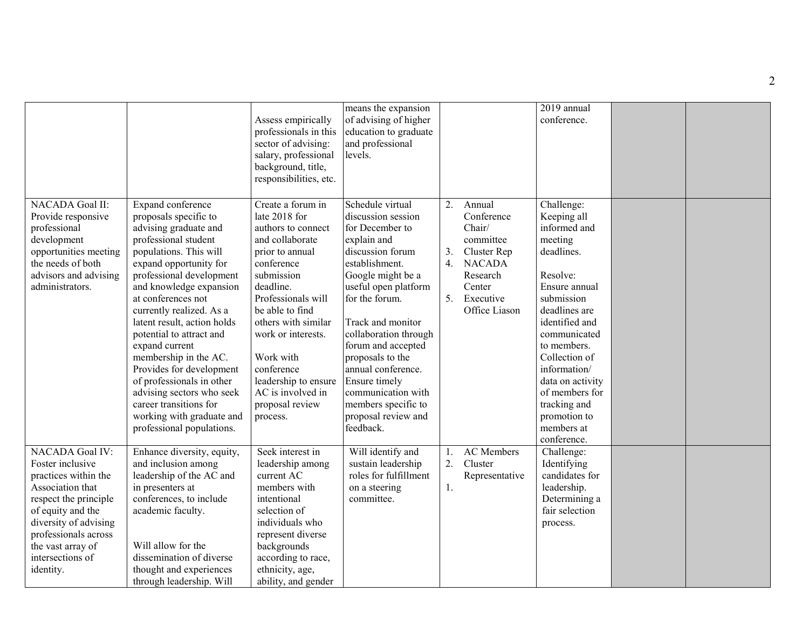|                                                                                                                                                                                                                                      |                                                                                                                                                                                                                                                                                                                                                                                                                                                                                                                                          | Assess empirically<br>professionals in this<br>sector of advising:<br>salary, professional<br>background, title,<br>responsibilities, etc.                                                                                                                                                                                           | means the expansion<br>of advising of higher<br>education to graduate<br>and professional<br>levels.                                                                                                                                                                                                                                                                                          |                      |                                                                                                                                 | 2019 annual<br>conference.                                                                                                                                                                                                                                                                                          |  |
|--------------------------------------------------------------------------------------------------------------------------------------------------------------------------------------------------------------------------------------|------------------------------------------------------------------------------------------------------------------------------------------------------------------------------------------------------------------------------------------------------------------------------------------------------------------------------------------------------------------------------------------------------------------------------------------------------------------------------------------------------------------------------------------|--------------------------------------------------------------------------------------------------------------------------------------------------------------------------------------------------------------------------------------------------------------------------------------------------------------------------------------|-----------------------------------------------------------------------------------------------------------------------------------------------------------------------------------------------------------------------------------------------------------------------------------------------------------------------------------------------------------------------------------------------|----------------------|---------------------------------------------------------------------------------------------------------------------------------|---------------------------------------------------------------------------------------------------------------------------------------------------------------------------------------------------------------------------------------------------------------------------------------------------------------------|--|
| NACADA Goal II:<br>Provide responsive<br>professional<br>development<br>opportunities meeting<br>the needs of both<br>advisors and advising<br>administrators.                                                                       | Expand conference<br>proposals specific to<br>advising graduate and<br>professional student<br>populations. This will<br>expand opportunity for<br>professional development<br>and knowledge expansion<br>at conferences not<br>currently realized. As a<br>latent result, action holds<br>potential to attract and<br>expand current<br>membership in the AC.<br>Provides for development<br>of professionals in other<br>advising sectors who seek<br>career transitions for<br>working with graduate and<br>professional populations. | Create a forum in<br>late 2018 for<br>authors to connect<br>and collaborate<br>prior to annual<br>conference<br>submission<br>deadline.<br>Professionals will<br>be able to find<br>others with similar<br>work or interests.<br>Work with<br>conference<br>leadership to ensure<br>AC is involved in<br>proposal review<br>process. | Schedule virtual<br>discussion session<br>for December to<br>explain and<br>discussion forum<br>establishment.<br>Google might be a<br>useful open platform<br>for the forum.<br>Track and monitor<br>collaboration through<br>forum and accepted<br>proposals to the<br>annual conference.<br>Ensure timely<br>communication with<br>members specific to<br>proposal review and<br>feedback. | 2.<br>3.<br>4.<br>5. | Annual<br>Conference<br>Chair/<br>committee<br>Cluster Rep<br><b>NACADA</b><br>Research<br>Center<br>Executive<br>Office Liason | Challenge:<br>Keeping all<br>informed and<br>meeting<br>deadlines.<br>Resolve:<br>Ensure annual<br>submission<br>deadlines are<br>identified and<br>communicated<br>to members.<br>Collection of<br>information/<br>data on activity<br>of members for<br>tracking and<br>promotion to<br>members at<br>conference. |  |
| NACADA Goal IV:<br>Foster inclusive<br>practices within the<br>Association that<br>respect the principle<br>of equity and the<br>diversity of advising<br>professionals across<br>the vast array of<br>intersections of<br>identity. | Enhance diversity, equity,<br>and inclusion among<br>leadership of the AC and<br>in presenters at<br>conferences, to include<br>academic faculty.<br>Will allow for the<br>dissemination of diverse<br>thought and experiences<br>through leadership. Will                                                                                                                                                                                                                                                                               | Seek interest in<br>leadership among<br>current AC<br>members with<br>intentional<br>selection of<br>individuals who<br>represent diverse<br>backgrounds<br>according to race,<br>ethnicity, age,<br>ability, and gender                                                                                                             | Will identify and<br>sustain leadership<br>roles for fulfillment<br>on a steering<br>committee.                                                                                                                                                                                                                                                                                               | 1.<br>2.<br>1.       | <b>AC</b> Members<br>Cluster<br>Representative                                                                                  | Challenge:<br>Identifying<br>candidates for<br>leadership.<br>Determining a<br>fair selection<br>process.                                                                                                                                                                                                           |  |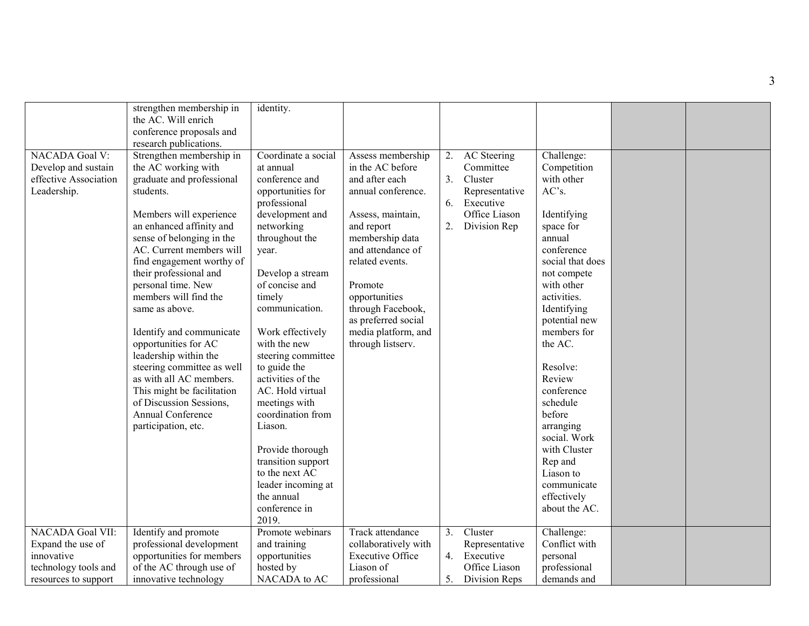|                       | strengthen membership in   | identity.                        |                         |    |                 |                  |  |
|-----------------------|----------------------------|----------------------------------|-------------------------|----|-----------------|------------------|--|
|                       | the AC. Will enrich        |                                  |                         |    |                 |                  |  |
|                       | conference proposals and   |                                  |                         |    |                 |                  |  |
|                       | research publications.     |                                  |                         |    |                 |                  |  |
| <b>NACADA Goal V:</b> | Strengthen membership in   | Coordinate a social              | Assess membership       | 2. | AC Steering     | Challenge:       |  |
| Develop and sustain   | the AC working with        | at annual                        | in the AC before        |    | Committee       | Competition      |  |
| effective Association | graduate and professional  | conference and                   | and after each          | 3. | Cluster         | with other       |  |
| Leadership.           | students.                  | opportunities for                | annual conference.      |    | Representative  | AC's.            |  |
|                       |                            | professional                     |                         | 6. | Executive       |                  |  |
|                       | Members will experience    | development and                  | Assess, maintain,       |    | Office Liason   | Identifying      |  |
|                       | an enhanced affinity and   | networking                       | and report              |    | 2. Division Rep | space for        |  |
|                       | sense of belonging in the  | throughout the                   | membership data         |    |                 | annual           |  |
|                       | AC. Current members will   | year.                            | and attendance of       |    |                 | conference       |  |
|                       | find engagement worthy of  |                                  | related events.         |    |                 | social that does |  |
|                       | their professional and     | Develop a stream                 |                         |    |                 | not compete      |  |
|                       | personal time. New         | of concise and                   | Promote                 |    |                 | with other       |  |
|                       | members will find the      | timely                           | opportunities           |    |                 | activities.      |  |
|                       | same as above.             | communication.                   | through Facebook,       |    |                 | Identifying      |  |
|                       |                            |                                  | as preferred social     |    |                 | potential new    |  |
|                       |                            |                                  |                         |    |                 | members for      |  |
|                       | Identify and communicate   | Work effectively<br>with the new | media platform, and     |    |                 | the AC.          |  |
|                       | opportunities for AC       |                                  | through listserv.       |    |                 |                  |  |
|                       | leadership within the      | steering committee               |                         |    |                 |                  |  |
|                       | steering committee as well | to guide the                     |                         |    |                 | Resolve:         |  |
|                       | as with all AC members.    | activities of the                |                         |    |                 | Review           |  |
|                       | This might be facilitation | AC. Hold virtual                 |                         |    |                 | conference       |  |
|                       | of Discussion Sessions,    | meetings with                    |                         |    |                 | schedule         |  |
|                       | Annual Conference          | coordination from                |                         |    |                 | before           |  |
|                       | participation, etc.        | Liason.                          |                         |    |                 | arranging        |  |
|                       |                            |                                  |                         |    |                 | social. Work     |  |
|                       |                            | Provide thorough                 |                         |    |                 | with Cluster     |  |
|                       |                            | transition support               |                         |    |                 | Rep and          |  |
|                       |                            | to the next AC                   |                         |    |                 | Liason to        |  |
|                       |                            | leader incoming at               |                         |    |                 | communicate      |  |
|                       |                            | the annual                       |                         |    |                 | effectively      |  |
|                       |                            | conference in                    |                         |    |                 | about the AC.    |  |
|                       |                            | 2019.                            |                         |    |                 |                  |  |
| NACADA Goal VII:      | Identify and promote       | Promote webinars                 | Track attendance        | 3. | Cluster         | Challenge:       |  |
| Expand the use of     | professional development   | and training                     | collaboratively with    |    | Representative  | Conflict with    |  |
| innovative            | opportunities for members  | opportunities                    | <b>Executive Office</b> |    | 4. Executive    | personal         |  |
| technology tools and  | of the AC through use of   | hosted by                        | Liason of               |    | Office Liason   | professional     |  |
| resources to support  | innovative technology      | NACADA to AC                     | professional            | 5. | Division Reps   | demands and      |  |